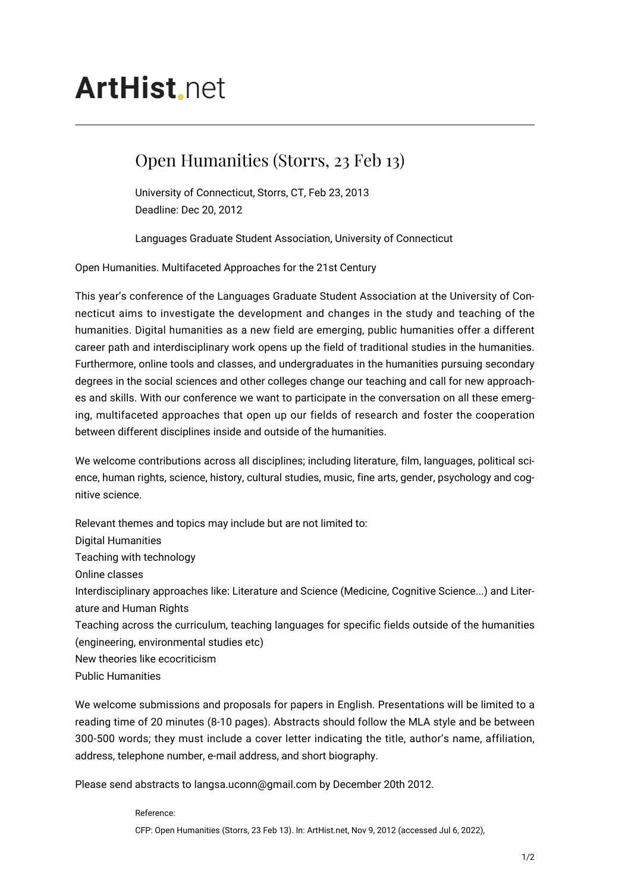## **ArtHist** net

## Open Humanities (Storrs, 23 Feb 13)

University of Connecticut, Storrs, CT, Feb 23, 2013 Deadline: Dec 20, 2012

Languages Graduate Student Association, University of Connecticut

Open Humanities. Multifaceted Approaches for the 21st Century

This year's conference of the Languages Graduate Student Association at the University of Connecticut aims to investigate the development and changes in the study and teaching of the humanities. Digital humanities as a new field are emerging, public humanities offer a different career path and interdisciplinary work opens up the field of traditional studies in the humanities. Furthermore, online tools and classes, and undergraduates in the humanities pursuing secondary degrees in the social sciences and other colleges change our teaching and call for new approaches and skills. With our conference we want to participate in the conversation on all these emerging, multifaceted approaches that open up our fields of research and foster the cooperation between different disciplines inside and outside of the humanities.

We welcome contributions across all disciplines; including literature, film, languages, political science, human rights, science, history, cultural studies, music, fine arts, gender, psychology and cognitive science.

Relevant themes and topics may include but are not limited to: Digital Humanities Teaching with technology Online classes Interdisciplinary approaches like: Literature and Science (Medicine, Cognitive Science...) and Literature and Human Rights Teaching across the curriculum, teaching languages for specific fields outside of the humanities (engineering, environmental studies etc) New theories like ecocriticism Public Humanities

We welcome submissions and proposals for papers in English. Presentations will be limited to a reading time of 20 minutes (8-10 pages). Abstracts should follow the MLA style and be between 300-500 words; they must include a cover letter indicating the title, author's name, affiliation, address, telephone number, e-mail address, and short biography.

Please send abstracts to langsa.uconn@gmail.com by December 20th 2012.

Reference: CFP: Open Humanities (Storrs, 23 Feb 13). In: ArtHist.net, Nov 9, 2012 (accessed Jul 6, 2022),